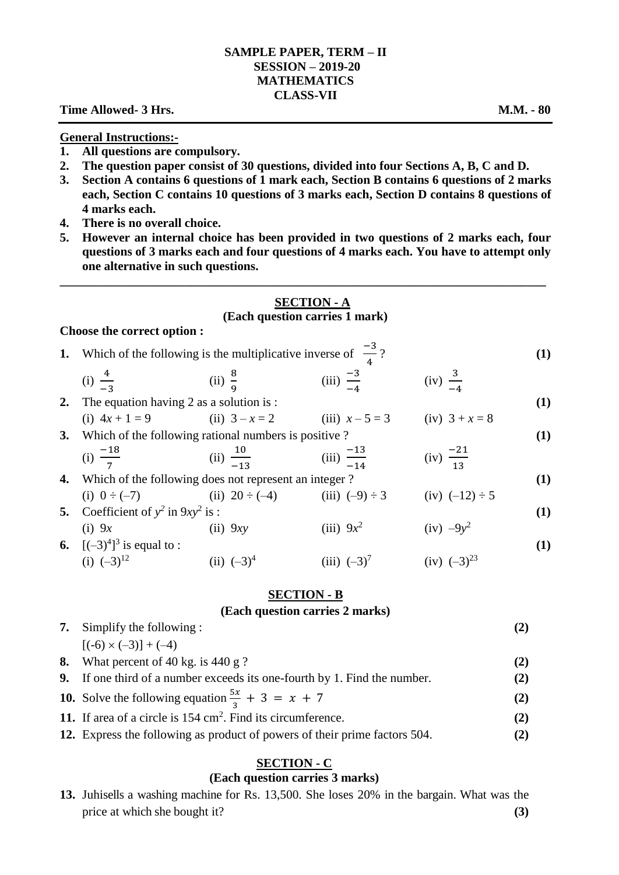# **SAMPLE PAPER, TERM – II SESSION – 2019-20 MATHEMATICS CLASS-VII**

# **Time Allowed- 3 Hrs. M.M. - 80**

#### **General Instructions:-**

- **1. All questions are compulsory.**
- **2. The question paper consist of 30 questions, divided into four Sections A, B, C and D.**
- **3. Section A contains 6 questions of 1 mark each, Section B contains 6 questions of 2 marks each, Section C contains 10 questions of 3 marks each, Section D contains 8 questions of 4 marks each.**
- **4. There is no overall choice.**
- **5. However an internal choice has been provided in two questions of 2 marks each, four questions of 3 marks each and four questions of 4 marks each. You have to attempt only one alternative in such questions.**

## **SECTION - A (Each question carries 1 mark)**

**\_\_\_\_\_\_\_\_\_\_\_\_\_\_\_\_\_\_\_\_\_\_\_\_\_\_\_\_\_\_\_\_\_\_\_\_\_\_\_\_\_\_\_\_\_\_\_\_\_\_\_\_\_\_\_\_\_\_\_\_\_\_\_\_\_\_\_\_\_\_\_\_\_\_\_\_\_\_**

#### **Choose the correct option :**

| Choope the correct option . |                                                                          |                        |                         |                       |  |  |  |
|-----------------------------|--------------------------------------------------------------------------|------------------------|-------------------------|-----------------------|--|--|--|
| 1.                          | Which of the following is the multiplicative inverse of $\frac{-3}{2}$ ? |                        |                         |                       |  |  |  |
|                             | (i) $\frac{4}{-3}$                                                       | (ii) $\frac{8}{\circ}$ | (iii) $\frac{-3}{-4}$   | $(iv) \frac{3}{-4}$   |  |  |  |
|                             | 2. The equation having 2 as a solution is :                              |                        |                         |                       |  |  |  |
|                             | (i) $4x + 1 = 9$ (ii) $3 - x = 2$ (iii) $x - 5 = 3$                      |                        |                         | (iv) $3 + x = 8$      |  |  |  |
|                             | 3. Which of the following rational numbers is positive?                  |                        |                         |                       |  |  |  |
|                             | (i) $\frac{-18}{7}$                                                      | (ii) $\frac{10}{-13}$  | (iii) $\frac{-13}{-14}$ | (iv) $\frac{-21}{13}$ |  |  |  |
|                             | <b>4.</b> Which of the following does not represent an integer?          |                        |                         |                       |  |  |  |
|                             | (i) $0 \div (-7)$ (ii) $20 \div (-4)$ (iii) $(-9) \div 3$                |                        |                         | (iv) $(-12) \div 5$   |  |  |  |
|                             | 5. Coefficient of $y^2$ in $9xy^2$ is :                                  |                        |                         |                       |  |  |  |
|                             | $(1)$ 0                                                                  |                        |                         |                       |  |  |  |

(i)  $9x$  (ii)  $9xy$  $(iii) 9x^2$  $(iv) -9y^2$ **6.**  $[(-3)^4]^3$  is equal to : **(1) (1)** (i)  $(-3)^{12}$  (ii)  $(-3)^4$ (iii)  $(-3)^7$  $(iv)$   $(-3)^{23}$ 

### **SECTION - B**

# **(Each question carries 2 marks)**

| <b>7.</b> Simplify the following:                                                |     |
|----------------------------------------------------------------------------------|-----|
| $[(-6) \times (-3)] + (-4)$                                                      |     |
| 8. What percent of 40 kg. is 440 g ?                                             | (2) |
| <b>9.</b> If one third of a number exceeds its one-fourth by 1. Find the number. | (2) |
| 10. Solve the following equation $\frac{5x}{3} + 3 = x + 7$                      | (2) |
| 11. If area of a circle is $154 \text{ cm}^2$ . Find its circumference.          | (2) |

**12.** Express the following as product of powers of their prime factors 504. **(2)**

#### **SECTION - C**

### **(Each question carries 3 marks)**

**13.** Juhisells a washing machine for Rs. 13,500. She loses 20% in the bargain. What was the price at which she bought it? **(3)**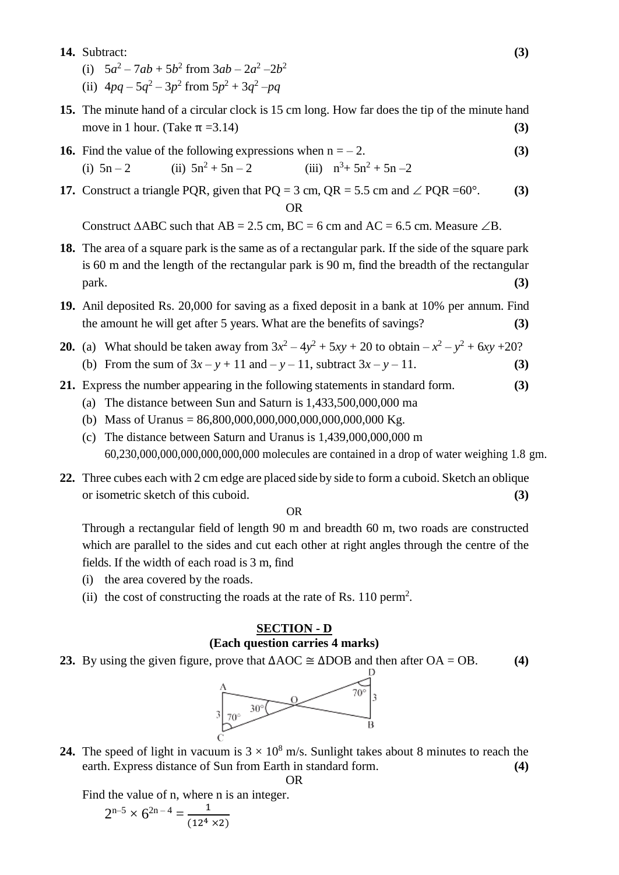### **14.** Subtract: **(3)**

- (i)  $5a^2 7ab + 5b^2$  from  $3ab 2a^2 2b^2$
- (ii)  $4pq 5q^2 3p^2$  from  $5p^2 + 3q^2 pq$
- **15.** The minute hand of a circular clock is 15 cm long. How far does the tip of the minute hand move in 1 hour. (Take  $π = 3.14$ ) (3)
- **16.** Find the value of the following expressions when  $n = -2$ . **(3)** (i)  $5n - 2$  (ii)  $5n^2 + 5n - 2$  (iii)  $n^3 + 5n^2 + 5n - 2$
- **17.** Construct a triangle PQR, given that  $PQ = 3$  cm,  $QR = 5.5$  cm and  $\angle$  PQR =60°. **(3)** OR

Construct  $\triangle ABC$  such that  $AB = 2.5$  cm,  $BC = 6$  cm and  $AC = 6.5$  cm. Measure  $\angle B$ .

- **18.** The area of a square park is the same as of a rectangular park. If the side of the square park is 60 m and the length of the rectangular park is 90 m, find the breadth of the rectangular park. **(3)**
- **19.** Anil deposited Rs. 20,000 for saving as a fixed deposit in a bank at 10% per annum. Find the amount he will get after 5 years. What are the benefits of savings? **(3)**
- **20.** (a) What should be taken away from  $3x^2 4y^2 + 5xy + 20$  to obtain  $-x^2 y^2 + 6xy + 20$ ? (b) From the sum of  $3x - y + 11$  and  $-y - 11$ , subtract  $3x - y - 11$ . (3)
- **21.** Express the number appearing in the following statements in standard form. **(3)**
	- (a) The distance between Sun and Saturn is 1,433,500,000,000 ma
	- (b) Mass of Uranus =  $86,800,000,000,000,000,000,000,000$  Kg.
	- (c) The distance between Saturn and Uranus is 1,439,000,000,000 m 60,230,000,000,000,000,000,000 molecules are contained in a drop of water weighing 1.8 gm.
- **22.** Three cubes each with 2 cm edge are placed side by side to form a cuboid. Sketch an oblique or isometric sketch of this cuboid. **(3)**

OR

Through a rectangular field of length 90 m and breadth 60 m, two roads are constructed which are parallel to the sides and cut each other at right angles through the centre of the fields. If the width of each road is 3 m, find

- (i) the area covered by the roads.
- (ii) the cost of constructing the roads at the rate of Rs. 110 perm<sup>2</sup>.

# **SECTION - D (Each question carries 4 marks)**

**23.** By using the given figure, prove that ∆AOC ≅ ∆DOB and then after OA = OB. **(4)**



**24.** The speed of light in vacuum is  $3 \times 10^8$  m/s. Sunlight takes about 8 minutes to reach the earth. Express distance of Sun from Earth in standard form. **(4)** OR

Find the value of n, where n is an integer.

$$
2^{n-5}\times 6^{2n-4}=\frac{1}{(12^4\times 2)}
$$